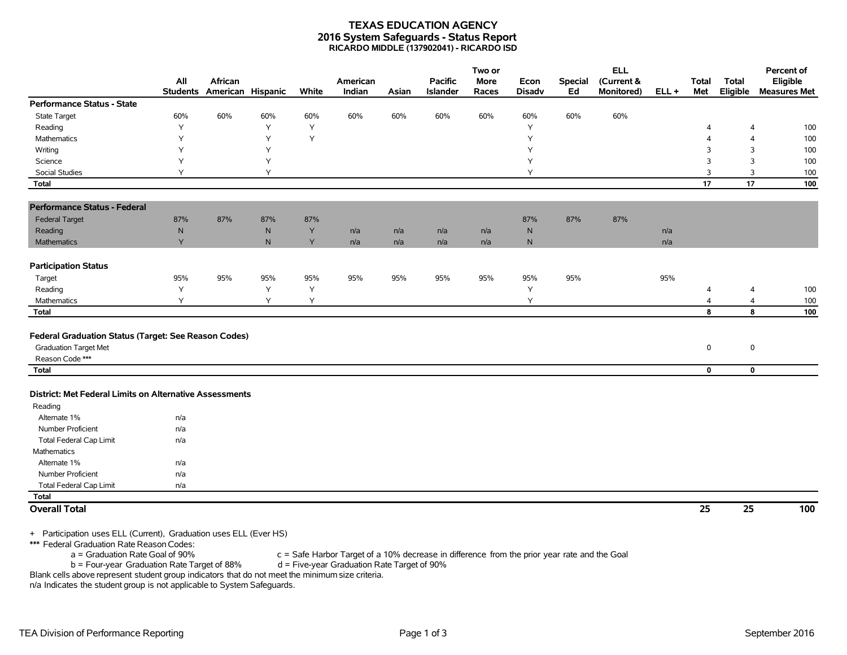## **TEXAS EDUCATION AGENCY 2016 System Safeguards - Status Report RICARDO MIDDLE (137902041) - RICARDO ISD**

|                                                         |           |                                       |     |       |                    |       |                                   | Two or               |                       |                      | <b>ELL</b>               |         |                     |                          | Percent of                      |
|---------------------------------------------------------|-----------|---------------------------------------|-----|-------|--------------------|-------|-----------------------------------|----------------------|-----------------------|----------------------|--------------------------|---------|---------------------|--------------------------|---------------------------------|
|                                                         | All       | African<br>Students American Hispanic |     | White | American<br>Indian | Asian | <b>Pacific</b><br><b>Islander</b> | <b>More</b><br>Races | Econ<br><b>Disadv</b> | <b>Special</b><br>Ed | (Current &<br>Monitored) | $ELL +$ | <b>Total</b><br>Met | <b>Total</b><br>Eligible | Eligible<br><b>Measures Met</b> |
| <b>Performance Status - State</b>                       |           |                                       |     |       |                    |       |                                   |                      |                       |                      |                          |         |                     |                          |                                 |
| State Target                                            | 60%       | 60%                                   | 60% | 60%   | 60%                | 60%   | 60%                               | 60%                  | 60%                   | 60%                  | 60%                      |         |                     |                          |                                 |
| Reading                                                 | Y         |                                       | Y   | Y     |                    |       |                                   |                      | Y                     |                      |                          |         | $\overline{4}$      | $\overline{4}$           | 100                             |
| Mathematics                                             | Υ         |                                       | Y   | Y     |                    |       |                                   |                      | Y                     |                      |                          |         | $\overline{4}$      | $\overline{4}$           | 100                             |
| Writing                                                 | Y         |                                       | Y   |       |                    |       |                                   |                      | Y                     |                      |                          |         | 3                   | 3                        | 100                             |
| Science                                                 | Y         |                                       | Υ   |       |                    |       |                                   |                      | Υ                     |                      |                          |         | 3                   | 3                        | 100                             |
| <b>Social Studies</b>                                   | Y         |                                       | Υ   |       |                    |       |                                   |                      | Y                     |                      |                          |         | 3                   | 3                        | 100                             |
| <b>Total</b>                                            |           |                                       |     |       |                    |       |                                   |                      |                       |                      |                          |         | 17                  | 17                       | 100                             |
| <b>Performance Status - Federal</b>                     |           |                                       |     |       |                    |       |                                   |                      |                       |                      |                          |         |                     |                          |                                 |
| <b>Federal Target</b>                                   | 87%       | 87%                                   | 87% | 87%   |                    |       |                                   |                      | 87%                   | 87%                  | 87%                      |         |                     |                          |                                 |
| Reading                                                 | ${\sf N}$ |                                       | N   | Y     | n/a                | n/a   | n/a                               | n/a                  | N                     |                      |                          | n/a     |                     |                          |                                 |
| <b>Mathematics</b>                                      | Y         |                                       | N   | Y     | n/a                | n/a   | n/a                               | n/a                  | $\mathsf{N}$          |                      |                          | n/a     |                     |                          |                                 |
| <b>Participation Status</b>                             |           |                                       |     |       |                    |       |                                   |                      |                       |                      |                          |         |                     |                          |                                 |
| Target                                                  | 95%       | 95%                                   | 95% | 95%   | 95%                | 95%   | 95%                               | 95%                  | 95%                   | 95%                  |                          | 95%     |                     |                          |                                 |
| Reading                                                 | Υ         |                                       | Y   | Y     |                    |       |                                   |                      | Y                     |                      |                          |         | 4                   | 4                        | 100                             |
| Mathematics                                             | Y         |                                       | Y   | Y     |                    |       |                                   |                      | Y                     |                      |                          |         | 4                   | $\overline{4}$           | 100                             |
| <b>Total</b>                                            |           |                                       |     |       |                    |       |                                   |                      |                       |                      |                          |         | 8                   | 8                        | 100                             |
|                                                         |           |                                       |     |       |                    |       |                                   |                      |                       |                      |                          |         |                     |                          |                                 |
| Federal Graduation Status (Target: See Reason Codes)    |           |                                       |     |       |                    |       |                                   |                      |                       |                      |                          |         |                     |                          |                                 |
| <b>Graduation Target Met</b>                            |           |                                       |     |       |                    |       |                                   |                      |                       |                      |                          |         | 0                   | $\mathbf 0$              |                                 |
| Reason Code ***                                         |           |                                       |     |       |                    |       |                                   |                      |                       |                      |                          |         |                     |                          |                                 |
| <b>Total</b>                                            |           |                                       |     |       |                    |       |                                   |                      |                       |                      |                          |         | 0                   | $\mathbf 0$              |                                 |
|                                                         |           |                                       |     |       |                    |       |                                   |                      |                       |                      |                          |         |                     |                          |                                 |
| District: Met Federal Limits on Alternative Assessments |           |                                       |     |       |                    |       |                                   |                      |                       |                      |                          |         |                     |                          |                                 |
| Reading                                                 |           |                                       |     |       |                    |       |                                   |                      |                       |                      |                          |         |                     |                          |                                 |
| Alternate 1%                                            | n/a       |                                       |     |       |                    |       |                                   |                      |                       |                      |                          |         |                     |                          |                                 |
| Number Proficient                                       | n/a       |                                       |     |       |                    |       |                                   |                      |                       |                      |                          |         |                     |                          |                                 |
| <b>Total Federal Cap Limit</b>                          | n/a       |                                       |     |       |                    |       |                                   |                      |                       |                      |                          |         |                     |                          |                                 |
| <b>Mathematics</b>                                      |           |                                       |     |       |                    |       |                                   |                      |                       |                      |                          |         |                     |                          |                                 |
| Alternate 1%                                            | n/a       |                                       |     |       |                    |       |                                   |                      |                       |                      |                          |         |                     |                          |                                 |
| Number Proficient                                       | n/a       |                                       |     |       |                    |       |                                   |                      |                       |                      |                          |         |                     |                          |                                 |
| <b>Total Federal Cap Limit</b>                          | n/a       |                                       |     |       |                    |       |                                   |                      |                       |                      |                          |         |                     |                          |                                 |
| Total                                                   |           |                                       |     |       |                    |       |                                   |                      |                       |                      |                          |         |                     |                          |                                 |
| <b>Overall Total</b>                                    |           |                                       |     |       |                    |       |                                   |                      |                       |                      |                          |         | 25                  | 25                       | 100                             |
|                                                         |           |                                       |     |       |                    |       |                                   |                      |                       |                      |                          |         |                     |                          |                                 |
|                                                         |           |                                       |     |       |                    |       |                                   |                      |                       |                      |                          |         |                     |                          |                                 |

+ Participation uses ELL (Current), Graduation uses ELL (Ever HS)

\*\*\* Federal Graduation Rate Reason Codes:<br>a = Graduation Rate Goal of 90%

 $c =$  Safe Harbor Target of a 10% decrease in difference from the prior year rate and the Goal d = Five-year Graduation Rate Target of 90%

 $b =$  Four-year Graduation Rate Target of 88%

Blank cells above represent student group indicators that do not meet the minimum size criteria. n/a Indicates the student group is not applicable to System Safeguards.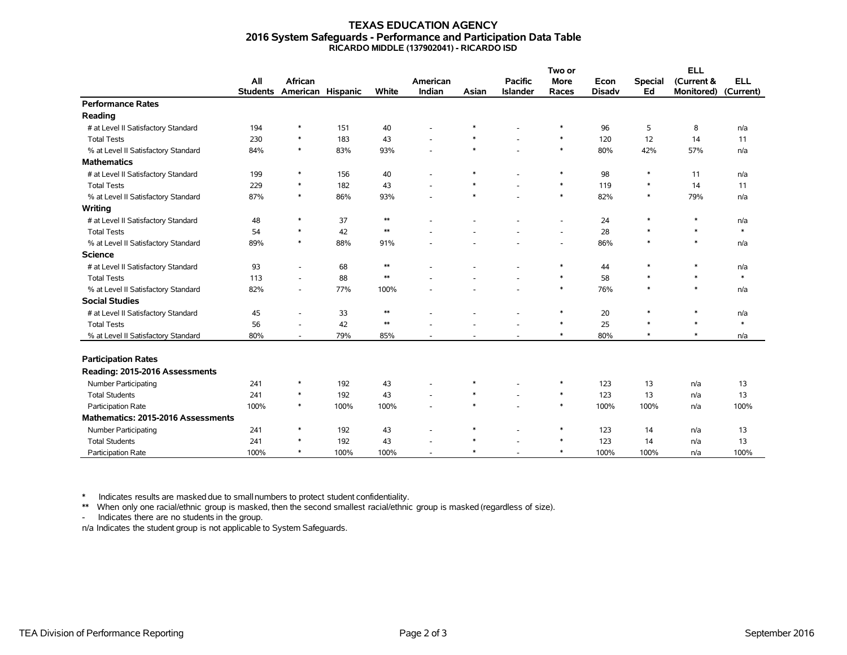## **TEXAS EDUCATION AGENCY 2016 System Safeguards - Performance and Participation Data Table RICARDO MIDDLE (137902041) - RICARDO ISD**

|                                     |                 |                          |      |            |          |        |                 | Two or                   |               |                | <b>ELL</b>        |            |
|-------------------------------------|-----------------|--------------------------|------|------------|----------|--------|-----------------|--------------------------|---------------|----------------|-------------------|------------|
|                                     | All             | <b>African</b>           |      |            | American |        | <b>Pacific</b>  | <b>More</b>              | Econ          | <b>Special</b> | (Current &        | <b>ELL</b> |
|                                     | <b>Students</b> | American Hispanic        |      | White      | Indian   | Asian  | <b>Islander</b> | Races                    | <b>Disadv</b> | Ed             | <b>Monitored)</b> | (Current)  |
| <b>Performance Rates</b>            |                 |                          |      |            |          |        |                 |                          |               |                |                   |            |
| Reading                             |                 |                          |      |            |          |        |                 |                          |               |                |                   |            |
| # at Level II Satisfactory Standard | 194             | *                        | 151  | 40         |          | $\ast$ |                 | $\ast$                   | 96            | 5              | 8                 | n/a        |
| <b>Total Tests</b>                  | 230             | $\ast$                   | 183  | 43         |          | $\ast$ |                 | $\ast$                   | 120           | 12             | 14                | 11         |
| % at Level II Satisfactory Standard | 84%             | $\ast$                   | 83%  | 93%        |          | $\ast$ |                 | $\ast$                   | 80%           | 42%            | 57%               | n/a        |
| <b>Mathematics</b>                  |                 |                          |      |            |          |        |                 |                          |               |                |                   |            |
| # at Level II Satisfactory Standard | 199             | *                        | 156  | 40         |          | $\ast$ |                 | $\ast$                   | 98            | ∗              | 11                | n/a        |
| <b>Total Tests</b>                  | 229             | $\ast$                   | 182  | 43         |          | $\ast$ |                 | $\ast$                   | 119           | $\ast$         | 14                | 11         |
| % at Level II Satisfactory Standard | 87%             | $\ast$                   | 86%  | 93%        |          | $\ast$ |                 | $\ast$                   | 82%           | $\ast$         | 79%               | n/a        |
| Writing                             |                 |                          |      |            |          |        |                 |                          |               |                |                   |            |
| # at Level II Satisfactory Standard | 48              | $\ast$                   | 37   | $\ast\ast$ |          |        |                 | $\overline{\phantom{a}}$ | 24            | $\ast$         | $\ast$            | n/a        |
| <b>Total Tests</b>                  | 54              | $\ast$                   | 42   | $\ast\ast$ |          |        |                 | $\overline{\phantom{a}}$ | 28            | $\ast$         | $\ast$            | $\ast$     |
| % at Level II Satisfactory Standard | 89%             | $\ast$                   | 88%  | 91%        |          |        |                 | $\overline{\phantom{a}}$ | 86%           | $\ast$         | $\ast$            | n/a        |
| <b>Science</b>                      |                 |                          |      |            |          |        |                 |                          |               |                |                   |            |
| # at Level II Satisfactory Standard | 93              | $\overline{\phantom{a}}$ | 68   | $\ast\ast$ |          |        |                 | $\ast$                   | 44            | $\ast$         | $\ast$            | n/a        |
| <b>Total Tests</b>                  | 113             | ٠                        | 88   | $\ast\ast$ |          |        |                 | $\ast$                   | 58            | $\ast$         | $\ast$            | $\ast$     |
| % at Level II Satisfactory Standard | 82%             | $\overline{\phantom{a}}$ | 77%  | 100%       |          |        |                 | $\ast$                   | 76%           | $\ast$         | $\ast$            | n/a        |
| <b>Social Studies</b>               |                 |                          |      |            |          |        |                 |                          |               |                |                   |            |
| # at Level II Satisfactory Standard | 45              | ٠                        | 33   | $\ast\ast$ |          |        |                 | $\ast$                   | 20            | $\ast$         | $\ast$            | n/a        |
| <b>Total Tests</b>                  | 56              | ٠                        | 42   | $\ast\ast$ |          |        |                 | $\ast$                   | 25            | $\ast$         | $\ast$            | $\ast$     |
| % at Level II Satisfactory Standard | 80%             | $\overline{\phantom{a}}$ | 79%  | 85%        |          |        |                 | $\ast$                   | 80%           | $\ast$         | $\ast$            | n/a        |
|                                     |                 |                          |      |            |          |        |                 |                          |               |                |                   |            |
| <b>Participation Rates</b>          |                 |                          |      |            |          |        |                 |                          |               |                |                   |            |
| Reading: 2015-2016 Assessments      |                 |                          |      |            |          |        |                 |                          |               |                |                   |            |
| <b>Number Participating</b>         | 241             | $\ast$                   | 192  | 43         |          | $\ast$ |                 | $\ast$                   | 123           | 13             | n/a               | 13         |
| <b>Total Students</b>               | 241             | $\ast$                   | 192  | 43         |          | $\ast$ |                 | $\ast$                   | 123           | 13             | n/a               | 13         |
| Participation Rate                  | 100%            | $\ast$                   | 100% | 100%       |          | $\ast$ |                 | $\ast$                   | 100%          | 100%           | n/a               | 100%       |
| Mathematics: 2015-2016 Assessments  |                 |                          |      |            |          |        |                 |                          |               |                |                   |            |
| Number Participating                | 241             | $\ast$                   | 192  | 43         |          | $\ast$ |                 | $\ast$                   | 123           | 14             | n/a               | 13         |
| <b>Total Students</b>               | 241             | $\ast$                   | 192  | 43         |          | $\ast$ |                 | $\ast$                   | 123           | 14             | n/a               | 13         |
| Participation Rate                  | 100%            | $\ast$                   | 100% | 100%       |          | $\ast$ |                 | $\ast$                   | 100%          | 100%           | n/a               | 100%       |

\* Indicates results are masked due to smallnumbers to protect student confidentiality.

\*\* When only one racial/ethnic group is masked, then the second smallest racial/ethnic group is masked (regardless of size).

- Indicates there are no students in the group.

n/a Indicates the student group is not applicable to System Safeguards.